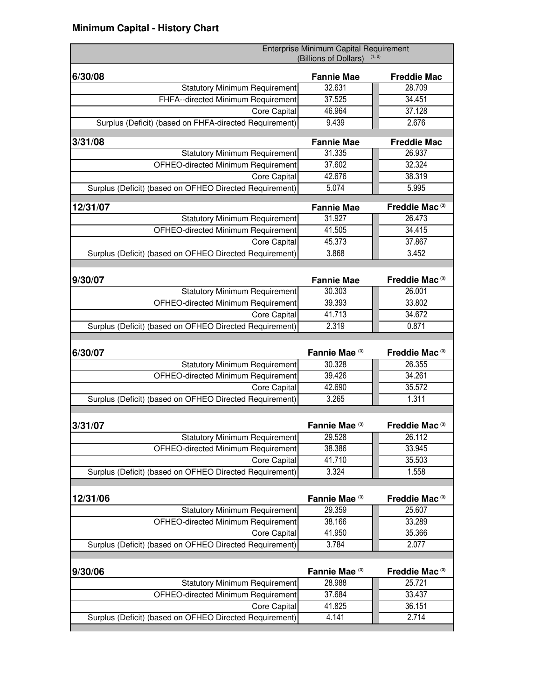| 6/30/08<br><b>Fannie Mae</b><br><b>Freddie Mac</b><br>32.631<br>28.709<br><b>Statutory Minimum Requirement</b><br>37.525<br>34.451<br>FHFA--directed Minimum Requirement<br>37.128<br>46.964<br>Core Capital<br>9.439<br>2.676<br>Surplus (Deficit) (based on FHFA-directed Requirement)<br>3/31/08<br><b>Fannie Mae</b><br><b>Freddie Mac</b><br>31.335<br><b>Statutory Minimum Requirement</b><br>26.937<br>32.324<br>OFHEO-directed Minimum Requirement<br>37.602<br>42.676<br>38.319<br>Core Capital<br>$\overline{5.07}4$<br>5.995<br>Surplus (Deficit) (based on OFHEO Directed Requirement)<br>Freddie Mac <sup>(3)</sup><br>12/31/07<br><b>Fannie Mae</b><br>31.927<br>26.473<br><b>Statutory Minimum Requirement</b><br>34.415<br>OFHEO-directed Minimum Requirement<br>41.505<br>45.373<br>37.867<br>Core Capital<br>3.868<br>3.452<br>Surplus (Deficit) (based on OFHEO Directed Requirement)<br>9/30/07<br><b>Fannie Mae</b><br>Freddie Mac <sup>(3)</sup><br><b>Statutory Minimum Requirement</b><br>30.303<br>26.001<br>39.393<br>33.802<br>OFHEO-directed Minimum Requirement<br>41.713<br>34.672<br>Core Capital<br>2.319<br>0.871<br>Surplus (Deficit) (based on OFHEO Directed Requirement)<br>Fannie Mae <sup>(3)</sup><br>6/30/07<br>Freddie Mac <sup>(3)</sup><br><b>Statutory Minimum Requirement</b><br>30.328<br>26.355<br>34.261<br>39.426<br>OFHEO-directed Minimum Requirement<br>42.690<br>35.572<br>Core Capital<br>3.265<br>1.311<br>Surplus (Deficit) (based on OFHEO Directed Requirement)<br>3/31/07<br>Fannie Mae <sup>(3)</sup><br>Freddie Mac <sup>(3)</sup><br><b>Statutory Minimum Requirement</b><br>29.528<br>26.112<br>38.386<br>33.945<br>OFHEO-directed Minimum Requirement<br>41.710<br>35.503<br>Core Capital<br>Surplus (Deficit) (based on OFHEO Directed Requirement)<br>3.324<br>1.558<br>12/31/06<br>Fannie Mae <sup>(3)</sup><br>Freddie Mac <sup>(3)</sup><br><b>Statutory Minimum Requirement</b><br>29.359<br>25.607 | Enterprise Minimum Capital Requirement<br>(Billions of Dollars) | (1, 2) |
|----------------------------------------------------------------------------------------------------------------------------------------------------------------------------------------------------------------------------------------------------------------------------------------------------------------------------------------------------------------------------------------------------------------------------------------------------------------------------------------------------------------------------------------------------------------------------------------------------------------------------------------------------------------------------------------------------------------------------------------------------------------------------------------------------------------------------------------------------------------------------------------------------------------------------------------------------------------------------------------------------------------------------------------------------------------------------------------------------------------------------------------------------------------------------------------------------------------------------------------------------------------------------------------------------------------------------------------------------------------------------------------------------------------------------------------------------------------------------------------------------------------------------------------------------------------------------------------------------------------------------------------------------------------------------------------------------------------------------------------------------------------------------------------------------------------------------------------------------------------------------------------------------------------------------------------------------------------------------|-----------------------------------------------------------------|--------|
|                                                                                                                                                                                                                                                                                                                                                                                                                                                                                                                                                                                                                                                                                                                                                                                                                                                                                                                                                                                                                                                                                                                                                                                                                                                                                                                                                                                                                                                                                                                                                                                                                                                                                                                                                                                                                                                                                                                                                                            |                                                                 |        |
|                                                                                                                                                                                                                                                                                                                                                                                                                                                                                                                                                                                                                                                                                                                                                                                                                                                                                                                                                                                                                                                                                                                                                                                                                                                                                                                                                                                                                                                                                                                                                                                                                                                                                                                                                                                                                                                                                                                                                                            |                                                                 |        |
|                                                                                                                                                                                                                                                                                                                                                                                                                                                                                                                                                                                                                                                                                                                                                                                                                                                                                                                                                                                                                                                                                                                                                                                                                                                                                                                                                                                                                                                                                                                                                                                                                                                                                                                                                                                                                                                                                                                                                                            |                                                                 |        |
|                                                                                                                                                                                                                                                                                                                                                                                                                                                                                                                                                                                                                                                                                                                                                                                                                                                                                                                                                                                                                                                                                                                                                                                                                                                                                                                                                                                                                                                                                                                                                                                                                                                                                                                                                                                                                                                                                                                                                                            |                                                                 |        |
|                                                                                                                                                                                                                                                                                                                                                                                                                                                                                                                                                                                                                                                                                                                                                                                                                                                                                                                                                                                                                                                                                                                                                                                                                                                                                                                                                                                                                                                                                                                                                                                                                                                                                                                                                                                                                                                                                                                                                                            |                                                                 |        |
|                                                                                                                                                                                                                                                                                                                                                                                                                                                                                                                                                                                                                                                                                                                                                                                                                                                                                                                                                                                                                                                                                                                                                                                                                                                                                                                                                                                                                                                                                                                                                                                                                                                                                                                                                                                                                                                                                                                                                                            |                                                                 |        |
|                                                                                                                                                                                                                                                                                                                                                                                                                                                                                                                                                                                                                                                                                                                                                                                                                                                                                                                                                                                                                                                                                                                                                                                                                                                                                                                                                                                                                                                                                                                                                                                                                                                                                                                                                                                                                                                                                                                                                                            |                                                                 |        |
|                                                                                                                                                                                                                                                                                                                                                                                                                                                                                                                                                                                                                                                                                                                                                                                                                                                                                                                                                                                                                                                                                                                                                                                                                                                                                                                                                                                                                                                                                                                                                                                                                                                                                                                                                                                                                                                                                                                                                                            |                                                                 |        |
|                                                                                                                                                                                                                                                                                                                                                                                                                                                                                                                                                                                                                                                                                                                                                                                                                                                                                                                                                                                                                                                                                                                                                                                                                                                                                                                                                                                                                                                                                                                                                                                                                                                                                                                                                                                                                                                                                                                                                                            |                                                                 |        |
|                                                                                                                                                                                                                                                                                                                                                                                                                                                                                                                                                                                                                                                                                                                                                                                                                                                                                                                                                                                                                                                                                                                                                                                                                                                                                                                                                                                                                                                                                                                                                                                                                                                                                                                                                                                                                                                                                                                                                                            |                                                                 |        |
|                                                                                                                                                                                                                                                                                                                                                                                                                                                                                                                                                                                                                                                                                                                                                                                                                                                                                                                                                                                                                                                                                                                                                                                                                                                                                                                                                                                                                                                                                                                                                                                                                                                                                                                                                                                                                                                                                                                                                                            |                                                                 |        |
|                                                                                                                                                                                                                                                                                                                                                                                                                                                                                                                                                                                                                                                                                                                                                                                                                                                                                                                                                                                                                                                                                                                                                                                                                                                                                                                                                                                                                                                                                                                                                                                                                                                                                                                                                                                                                                                                                                                                                                            |                                                                 |        |
|                                                                                                                                                                                                                                                                                                                                                                                                                                                                                                                                                                                                                                                                                                                                                                                                                                                                                                                                                                                                                                                                                                                                                                                                                                                                                                                                                                                                                                                                                                                                                                                                                                                                                                                                                                                                                                                                                                                                                                            |                                                                 |        |
|                                                                                                                                                                                                                                                                                                                                                                                                                                                                                                                                                                                                                                                                                                                                                                                                                                                                                                                                                                                                                                                                                                                                                                                                                                                                                                                                                                                                                                                                                                                                                                                                                                                                                                                                                                                                                                                                                                                                                                            |                                                                 |        |
|                                                                                                                                                                                                                                                                                                                                                                                                                                                                                                                                                                                                                                                                                                                                                                                                                                                                                                                                                                                                                                                                                                                                                                                                                                                                                                                                                                                                                                                                                                                                                                                                                                                                                                                                                                                                                                                                                                                                                                            |                                                                 |        |
|                                                                                                                                                                                                                                                                                                                                                                                                                                                                                                                                                                                                                                                                                                                                                                                                                                                                                                                                                                                                                                                                                                                                                                                                                                                                                                                                                                                                                                                                                                                                                                                                                                                                                                                                                                                                                                                                                                                                                                            |                                                                 |        |
|                                                                                                                                                                                                                                                                                                                                                                                                                                                                                                                                                                                                                                                                                                                                                                                                                                                                                                                                                                                                                                                                                                                                                                                                                                                                                                                                                                                                                                                                                                                                                                                                                                                                                                                                                                                                                                                                                                                                                                            |                                                                 |        |
|                                                                                                                                                                                                                                                                                                                                                                                                                                                                                                                                                                                                                                                                                                                                                                                                                                                                                                                                                                                                                                                                                                                                                                                                                                                                                                                                                                                                                                                                                                                                                                                                                                                                                                                                                                                                                                                                                                                                                                            |                                                                 |        |
|                                                                                                                                                                                                                                                                                                                                                                                                                                                                                                                                                                                                                                                                                                                                                                                                                                                                                                                                                                                                                                                                                                                                                                                                                                                                                                                                                                                                                                                                                                                                                                                                                                                                                                                                                                                                                                                                                                                                                                            |                                                                 |        |
|                                                                                                                                                                                                                                                                                                                                                                                                                                                                                                                                                                                                                                                                                                                                                                                                                                                                                                                                                                                                                                                                                                                                                                                                                                                                                                                                                                                                                                                                                                                                                                                                                                                                                                                                                                                                                                                                                                                                                                            |                                                                 |        |
|                                                                                                                                                                                                                                                                                                                                                                                                                                                                                                                                                                                                                                                                                                                                                                                                                                                                                                                                                                                                                                                                                                                                                                                                                                                                                                                                                                                                                                                                                                                                                                                                                                                                                                                                                                                                                                                                                                                                                                            |                                                                 |        |
|                                                                                                                                                                                                                                                                                                                                                                                                                                                                                                                                                                                                                                                                                                                                                                                                                                                                                                                                                                                                                                                                                                                                                                                                                                                                                                                                                                                                                                                                                                                                                                                                                                                                                                                                                                                                                                                                                                                                                                            |                                                                 |        |
|                                                                                                                                                                                                                                                                                                                                                                                                                                                                                                                                                                                                                                                                                                                                                                                                                                                                                                                                                                                                                                                                                                                                                                                                                                                                                                                                                                                                                                                                                                                                                                                                                                                                                                                                                                                                                                                                                                                                                                            |                                                                 |        |
|                                                                                                                                                                                                                                                                                                                                                                                                                                                                                                                                                                                                                                                                                                                                                                                                                                                                                                                                                                                                                                                                                                                                                                                                                                                                                                                                                                                                                                                                                                                                                                                                                                                                                                                                                                                                                                                                                                                                                                            |                                                                 |        |
|                                                                                                                                                                                                                                                                                                                                                                                                                                                                                                                                                                                                                                                                                                                                                                                                                                                                                                                                                                                                                                                                                                                                                                                                                                                                                                                                                                                                                                                                                                                                                                                                                                                                                                                                                                                                                                                                                                                                                                            |                                                                 |        |
|                                                                                                                                                                                                                                                                                                                                                                                                                                                                                                                                                                                                                                                                                                                                                                                                                                                                                                                                                                                                                                                                                                                                                                                                                                                                                                                                                                                                                                                                                                                                                                                                                                                                                                                                                                                                                                                                                                                                                                            |                                                                 |        |
|                                                                                                                                                                                                                                                                                                                                                                                                                                                                                                                                                                                                                                                                                                                                                                                                                                                                                                                                                                                                                                                                                                                                                                                                                                                                                                                                                                                                                                                                                                                                                                                                                                                                                                                                                                                                                                                                                                                                                                            |                                                                 |        |
|                                                                                                                                                                                                                                                                                                                                                                                                                                                                                                                                                                                                                                                                                                                                                                                                                                                                                                                                                                                                                                                                                                                                                                                                                                                                                                                                                                                                                                                                                                                                                                                                                                                                                                                                                                                                                                                                                                                                                                            |                                                                 |        |
|                                                                                                                                                                                                                                                                                                                                                                                                                                                                                                                                                                                                                                                                                                                                                                                                                                                                                                                                                                                                                                                                                                                                                                                                                                                                                                                                                                                                                                                                                                                                                                                                                                                                                                                                                                                                                                                                                                                                                                            |                                                                 |        |
|                                                                                                                                                                                                                                                                                                                                                                                                                                                                                                                                                                                                                                                                                                                                                                                                                                                                                                                                                                                                                                                                                                                                                                                                                                                                                                                                                                                                                                                                                                                                                                                                                                                                                                                                                                                                                                                                                                                                                                            |                                                                 |        |
|                                                                                                                                                                                                                                                                                                                                                                                                                                                                                                                                                                                                                                                                                                                                                                                                                                                                                                                                                                                                                                                                                                                                                                                                                                                                                                                                                                                                                                                                                                                                                                                                                                                                                                                                                                                                                                                                                                                                                                            |                                                                 |        |
|                                                                                                                                                                                                                                                                                                                                                                                                                                                                                                                                                                                                                                                                                                                                                                                                                                                                                                                                                                                                                                                                                                                                                                                                                                                                                                                                                                                                                                                                                                                                                                                                                                                                                                                                                                                                                                                                                                                                                                            |                                                                 |        |
|                                                                                                                                                                                                                                                                                                                                                                                                                                                                                                                                                                                                                                                                                                                                                                                                                                                                                                                                                                                                                                                                                                                                                                                                                                                                                                                                                                                                                                                                                                                                                                                                                                                                                                                                                                                                                                                                                                                                                                            |                                                                 |        |
|                                                                                                                                                                                                                                                                                                                                                                                                                                                                                                                                                                                                                                                                                                                                                                                                                                                                                                                                                                                                                                                                                                                                                                                                                                                                                                                                                                                                                                                                                                                                                                                                                                                                                                                                                                                                                                                                                                                                                                            |                                                                 |        |
|                                                                                                                                                                                                                                                                                                                                                                                                                                                                                                                                                                                                                                                                                                                                                                                                                                                                                                                                                                                                                                                                                                                                                                                                                                                                                                                                                                                                                                                                                                                                                                                                                                                                                                                                                                                                                                                                                                                                                                            |                                                                 |        |
| OFHEO-directed Minimum Requirement<br>38.166<br>33.289                                                                                                                                                                                                                                                                                                                                                                                                                                                                                                                                                                                                                                                                                                                                                                                                                                                                                                                                                                                                                                                                                                                                                                                                                                                                                                                                                                                                                                                                                                                                                                                                                                                                                                                                                                                                                                                                                                                     |                                                                 |        |
| 35.366<br>Core Capital<br>41.950<br>Surplus (Deficit) (based on OFHEO Directed Requirement)<br>3.784<br>2.077                                                                                                                                                                                                                                                                                                                                                                                                                                                                                                                                                                                                                                                                                                                                                                                                                                                                                                                                                                                                                                                                                                                                                                                                                                                                                                                                                                                                                                                                                                                                                                                                                                                                                                                                                                                                                                                              |                                                                 |        |
|                                                                                                                                                                                                                                                                                                                                                                                                                                                                                                                                                                                                                                                                                                                                                                                                                                                                                                                                                                                                                                                                                                                                                                                                                                                                                                                                                                                                                                                                                                                                                                                                                                                                                                                                                                                                                                                                                                                                                                            |                                                                 |        |
| Fannie Mae (3)<br>9/30/06<br>Freddie Mac <sup>(3)</sup>                                                                                                                                                                                                                                                                                                                                                                                                                                                                                                                                                                                                                                                                                                                                                                                                                                                                                                                                                                                                                                                                                                                                                                                                                                                                                                                                                                                                                                                                                                                                                                                                                                                                                                                                                                                                                                                                                                                    |                                                                 |        |
| <b>Statutory Minimum Requirement</b><br>28.988<br>25.721                                                                                                                                                                                                                                                                                                                                                                                                                                                                                                                                                                                                                                                                                                                                                                                                                                                                                                                                                                                                                                                                                                                                                                                                                                                                                                                                                                                                                                                                                                                                                                                                                                                                                                                                                                                                                                                                                                                   |                                                                 |        |
| OFHEO-directed Minimum Requirement<br>37.684<br>33.437                                                                                                                                                                                                                                                                                                                                                                                                                                                                                                                                                                                                                                                                                                                                                                                                                                                                                                                                                                                                                                                                                                                                                                                                                                                                                                                                                                                                                                                                                                                                                                                                                                                                                                                                                                                                                                                                                                                     |                                                                 |        |
| 41.825<br>36.151<br>Core Capital                                                                                                                                                                                                                                                                                                                                                                                                                                                                                                                                                                                                                                                                                                                                                                                                                                                                                                                                                                                                                                                                                                                                                                                                                                                                                                                                                                                                                                                                                                                                                                                                                                                                                                                                                                                                                                                                                                                                           |                                                                 |        |
| 2.714<br>Surplus (Deficit) (based on OFHEO Directed Requirement)<br>4.141                                                                                                                                                                                                                                                                                                                                                                                                                                                                                                                                                                                                                                                                                                                                                                                                                                                                                                                                                                                                                                                                                                                                                                                                                                                                                                                                                                                                                                                                                                                                                                                                                                                                                                                                                                                                                                                                                                  |                                                                 |        |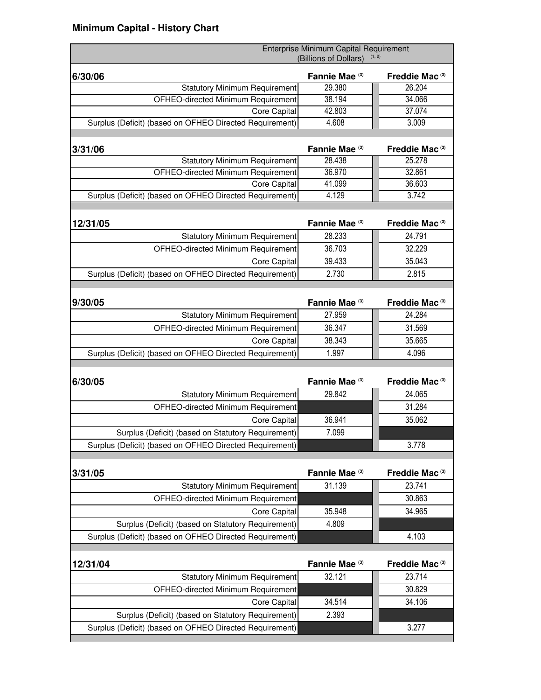| Enterprise Minimum Capital Requirement<br>(Billions of Dollars)<br>(1, 2) |                |                            |
|---------------------------------------------------------------------------|----------------|----------------------------|
| 6/30/06                                                                   | Fannie Mae (3) | Freddie Mac <sup>(3)</sup> |
| <b>Statutory Minimum Requirement</b>                                      | 29.380         | 26.204                     |
| OFHEO-directed Minimum Requirement                                        | 38.194         | 34.066                     |
| <b>Core Capital</b>                                                       | 42.803         | 37.074                     |
| Surplus (Deficit) (based on OFHEO Directed Requirement)                   | 4.608          | 3.009                      |
|                                                                           |                |                            |
| 3/31/06                                                                   | Fannie Mae (3) | Freddie Mac <sup>(3)</sup> |
| <b>Statutory Minimum Requirement</b>                                      | 28.438         | 25.278                     |
| OFHEO-directed Minimum Requirement                                        | 36.970         | 32.861                     |
| Core Capital                                                              | 41.099         | 36.603                     |
| Surplus (Deficit) (based on OFHEO Directed Requirement)                   | 4.129          | 3.742                      |
|                                                                           |                |                            |
| 12/31/05                                                                  | Fannie Mae (3) | Freddie Mac <sup>(3)</sup> |
| <b>Statutory Minimum Requirement</b>                                      | 28.233         | 24.791                     |
| OFHEO-directed Minimum Requirement                                        | 36.703         | 32.229                     |
| <b>Core Capital</b>                                                       | 39.433         | 35.043                     |
| Surplus (Deficit) (based on OFHEO Directed Requirement)                   | 2.730          | 2.815                      |
|                                                                           |                |                            |
| 9/30/05                                                                   | Fannie Mae (3) | Freddie Mac <sup>(3)</sup> |
| <b>Statutory Minimum Requirement</b>                                      | 27.959         | 24.284                     |
| OFHEO-directed Minimum Requirement                                        | 36.347         | 31.569                     |
| <b>Core Capital</b>                                                       | 38.343         | 35.665                     |
| Surplus (Deficit) (based on OFHEO Directed Requirement)                   | 1.997          | 4.096                      |
|                                                                           |                |                            |
| 6/30/05                                                                   | Fannie Mae (3) | Freddie Mac <sup>(3)</sup> |
| <b>Statutory Minimum Requirement</b>                                      | 29.842         | 24.065                     |
| OFHEO-directed Minimum Requirement                                        |                | 31.284                     |
| Core Capital                                                              | 36.941         | 35.062                     |
| Surplus (Deficit) (based on Statutory Requirement)                        | 7.099          |                            |
| Surplus (Deficit) (based on OFHEO Directed Requirement)                   |                | 3.778                      |
|                                                                           |                |                            |
| 3/31/05                                                                   | Fannie Mae (3) | Freddie Mac <sup>(3)</sup> |
| <b>Statutory Minimum Requirement</b>                                      | 31.139         | 23.741                     |
| OFHEO-directed Minimum Requirement                                        |                | 30.863                     |
| Core Capital                                                              | 35.948         | 34.965                     |
| Surplus (Deficit) (based on Statutory Requirement)                        | 4.809          |                            |
| Surplus (Deficit) (based on OFHEO Directed Requirement)                   |                | 4.103                      |
|                                                                           |                |                            |
| 12/31/04                                                                  | Fannie Mae (3) | Freddie Mac <sup>(3)</sup> |
| <b>Statutory Minimum Requirement</b>                                      | 32.121         | 23.714                     |
| OFHEO-directed Minimum Requirement                                        |                | 30.829                     |
| Core Capital                                                              | 34.514         | 34.106                     |
| Surplus (Deficit) (based on Statutory Requirement)                        | 2.393          |                            |
| Surplus (Deficit) (based on OFHEO Directed Requirement)                   |                | 3.277                      |
|                                                                           |                |                            |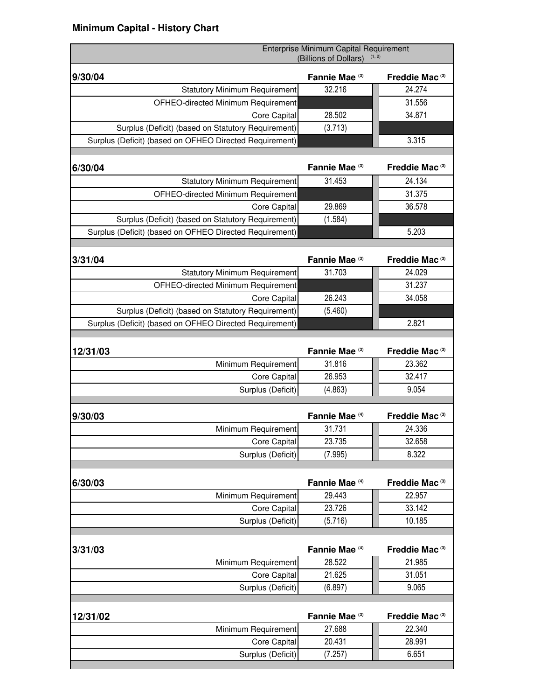| Fannie Mae (3)<br>Freddie Mac <sup>(3)</sup><br>9/30/04<br>32.216<br>24.274<br><b>Statutory Minimum Requirement</b><br>31.556<br>OFHEO-directed Minimum Requirement<br>34.871<br>28.502<br>Core Capital<br>(3.713)<br>Surplus (Deficit) (based on Statutory Requirement)<br>3.315<br>Surplus (Deficit) (based on OFHEO Directed Requirement)<br>Fannie Mae (3)<br>Freddie Mac <sup>(3)</sup><br>6/30/04<br>31.453<br>24.134<br><b>Statutory Minimum Requirement</b><br>31.375<br>OFHEO-directed Minimum Requirement<br>29.869<br>36.578<br>Core Capital<br>(1.584)<br>Surplus (Deficit) (based on Statutory Requirement)<br>5.203<br>Surplus (Deficit) (based on OFHEO Directed Requirement)<br>3/31/04<br>Fannie Mae <sup>(3)</sup><br>Freddie Mac <sup>(3)</sup><br>31.703<br>24.029<br><b>Statutory Minimum Requirement</b><br>31.237<br>OFHEO-directed Minimum Requirement<br>26.243<br>34.058<br>Core Capital<br>(5.460)<br>Surplus (Deficit) (based on Statutory Requirement)<br>2.821<br>Surplus (Deficit) (based on OFHEO Directed Requirement)<br>Fannie Mae <sup>(3)</sup><br>Freddie Mac <sup>(3)</sup><br>12/31/03<br>31.816<br>23.362<br>Minimum Requirement<br>26.953<br>32.417<br>Core Capital<br>Surplus (Deficit)<br>(4.863)<br>9.054<br>Fannie Mae <sup>(4)</sup><br>Freddie Mac <sup>(3)</sup><br>9/30/03<br>31.731<br>24.336<br>Minimum Requirement<br>23.735<br>32.658<br>Core Capital<br>8.322<br>Surplus (Deficit)<br>(7.995)<br>Fannie Mae <sup>(4)</sup><br>Freddie Mac <sup>(3)</sup><br>6/30/03<br>29.443<br>22.957<br>Minimum Requirement<br>33.142<br>23.726<br>Core Capital<br>Surplus (Deficit)<br>10.185<br>(5.716)<br>Fannie Mae <sup>(4)</sup><br>Freddie Mac <sup>(3)</sup><br>3/31/03<br>28.522<br>21.985<br>Minimum Requirement<br>21.625<br>31.051<br>Core Capital<br>9.065<br>Surplus (Deficit)<br>(6.897)<br>12/31/02<br>Fannie Mae (3)<br>Freddie Mac <sup>(3)</sup><br>Minimum Requirement<br>27.688<br>22.340<br>20.431<br>28.991<br>Core Capital | Enterprise Minimum Capital Requirement<br>(1, 2)<br>(Billions of Dollars) |  |  |
|----------------------------------------------------------------------------------------------------------------------------------------------------------------------------------------------------------------------------------------------------------------------------------------------------------------------------------------------------------------------------------------------------------------------------------------------------------------------------------------------------------------------------------------------------------------------------------------------------------------------------------------------------------------------------------------------------------------------------------------------------------------------------------------------------------------------------------------------------------------------------------------------------------------------------------------------------------------------------------------------------------------------------------------------------------------------------------------------------------------------------------------------------------------------------------------------------------------------------------------------------------------------------------------------------------------------------------------------------------------------------------------------------------------------------------------------------------------------------------------------------------------------------------------------------------------------------------------------------------------------------------------------------------------------------------------------------------------------------------------------------------------------------------------------------------------------------------------------------------------------------------------------------------------------------------------------------------------------------------------------|---------------------------------------------------------------------------|--|--|
|                                                                                                                                                                                                                                                                                                                                                                                                                                                                                                                                                                                                                                                                                                                                                                                                                                                                                                                                                                                                                                                                                                                                                                                                                                                                                                                                                                                                                                                                                                                                                                                                                                                                                                                                                                                                                                                                                                                                                                                              |                                                                           |  |  |
|                                                                                                                                                                                                                                                                                                                                                                                                                                                                                                                                                                                                                                                                                                                                                                                                                                                                                                                                                                                                                                                                                                                                                                                                                                                                                                                                                                                                                                                                                                                                                                                                                                                                                                                                                                                                                                                                                                                                                                                              |                                                                           |  |  |
|                                                                                                                                                                                                                                                                                                                                                                                                                                                                                                                                                                                                                                                                                                                                                                                                                                                                                                                                                                                                                                                                                                                                                                                                                                                                                                                                                                                                                                                                                                                                                                                                                                                                                                                                                                                                                                                                                                                                                                                              |                                                                           |  |  |
|                                                                                                                                                                                                                                                                                                                                                                                                                                                                                                                                                                                                                                                                                                                                                                                                                                                                                                                                                                                                                                                                                                                                                                                                                                                                                                                                                                                                                                                                                                                                                                                                                                                                                                                                                                                                                                                                                                                                                                                              |                                                                           |  |  |
|                                                                                                                                                                                                                                                                                                                                                                                                                                                                                                                                                                                                                                                                                                                                                                                                                                                                                                                                                                                                                                                                                                                                                                                                                                                                                                                                                                                                                                                                                                                                                                                                                                                                                                                                                                                                                                                                                                                                                                                              |                                                                           |  |  |
|                                                                                                                                                                                                                                                                                                                                                                                                                                                                                                                                                                                                                                                                                                                                                                                                                                                                                                                                                                                                                                                                                                                                                                                                                                                                                                                                                                                                                                                                                                                                                                                                                                                                                                                                                                                                                                                                                                                                                                                              |                                                                           |  |  |
|                                                                                                                                                                                                                                                                                                                                                                                                                                                                                                                                                                                                                                                                                                                                                                                                                                                                                                                                                                                                                                                                                                                                                                                                                                                                                                                                                                                                                                                                                                                                                                                                                                                                                                                                                                                                                                                                                                                                                                                              |                                                                           |  |  |
|                                                                                                                                                                                                                                                                                                                                                                                                                                                                                                                                                                                                                                                                                                                                                                                                                                                                                                                                                                                                                                                                                                                                                                                                                                                                                                                                                                                                                                                                                                                                                                                                                                                                                                                                                                                                                                                                                                                                                                                              |                                                                           |  |  |
|                                                                                                                                                                                                                                                                                                                                                                                                                                                                                                                                                                                                                                                                                                                                                                                                                                                                                                                                                                                                                                                                                                                                                                                                                                                                                                                                                                                                                                                                                                                                                                                                                                                                                                                                                                                                                                                                                                                                                                                              |                                                                           |  |  |
|                                                                                                                                                                                                                                                                                                                                                                                                                                                                                                                                                                                                                                                                                                                                                                                                                                                                                                                                                                                                                                                                                                                                                                                                                                                                                                                                                                                                                                                                                                                                                                                                                                                                                                                                                                                                                                                                                                                                                                                              |                                                                           |  |  |
|                                                                                                                                                                                                                                                                                                                                                                                                                                                                                                                                                                                                                                                                                                                                                                                                                                                                                                                                                                                                                                                                                                                                                                                                                                                                                                                                                                                                                                                                                                                                                                                                                                                                                                                                                                                                                                                                                                                                                                                              |                                                                           |  |  |
|                                                                                                                                                                                                                                                                                                                                                                                                                                                                                                                                                                                                                                                                                                                                                                                                                                                                                                                                                                                                                                                                                                                                                                                                                                                                                                                                                                                                                                                                                                                                                                                                                                                                                                                                                                                                                                                                                                                                                                                              |                                                                           |  |  |
|                                                                                                                                                                                                                                                                                                                                                                                                                                                                                                                                                                                                                                                                                                                                                                                                                                                                                                                                                                                                                                                                                                                                                                                                                                                                                                                                                                                                                                                                                                                                                                                                                                                                                                                                                                                                                                                                                                                                                                                              |                                                                           |  |  |
|                                                                                                                                                                                                                                                                                                                                                                                                                                                                                                                                                                                                                                                                                                                                                                                                                                                                                                                                                                                                                                                                                                                                                                                                                                                                                                                                                                                                                                                                                                                                                                                                                                                                                                                                                                                                                                                                                                                                                                                              |                                                                           |  |  |
|                                                                                                                                                                                                                                                                                                                                                                                                                                                                                                                                                                                                                                                                                                                                                                                                                                                                                                                                                                                                                                                                                                                                                                                                                                                                                                                                                                                                                                                                                                                                                                                                                                                                                                                                                                                                                                                                                                                                                                                              |                                                                           |  |  |
|                                                                                                                                                                                                                                                                                                                                                                                                                                                                                                                                                                                                                                                                                                                                                                                                                                                                                                                                                                                                                                                                                                                                                                                                                                                                                                                                                                                                                                                                                                                                                                                                                                                                                                                                                                                                                                                                                                                                                                                              |                                                                           |  |  |
|                                                                                                                                                                                                                                                                                                                                                                                                                                                                                                                                                                                                                                                                                                                                                                                                                                                                                                                                                                                                                                                                                                                                                                                                                                                                                                                                                                                                                                                                                                                                                                                                                                                                                                                                                                                                                                                                                                                                                                                              |                                                                           |  |  |
|                                                                                                                                                                                                                                                                                                                                                                                                                                                                                                                                                                                                                                                                                                                                                                                                                                                                                                                                                                                                                                                                                                                                                                                                                                                                                                                                                                                                                                                                                                                                                                                                                                                                                                                                                                                                                                                                                                                                                                                              |                                                                           |  |  |
|                                                                                                                                                                                                                                                                                                                                                                                                                                                                                                                                                                                                                                                                                                                                                                                                                                                                                                                                                                                                                                                                                                                                                                                                                                                                                                                                                                                                                                                                                                                                                                                                                                                                                                                                                                                                                                                                                                                                                                                              |                                                                           |  |  |
|                                                                                                                                                                                                                                                                                                                                                                                                                                                                                                                                                                                                                                                                                                                                                                                                                                                                                                                                                                                                                                                                                                                                                                                                                                                                                                                                                                                                                                                                                                                                                                                                                                                                                                                                                                                                                                                                                                                                                                                              |                                                                           |  |  |
|                                                                                                                                                                                                                                                                                                                                                                                                                                                                                                                                                                                                                                                                                                                                                                                                                                                                                                                                                                                                                                                                                                                                                                                                                                                                                                                                                                                                                                                                                                                                                                                                                                                                                                                                                                                                                                                                                                                                                                                              |                                                                           |  |  |
|                                                                                                                                                                                                                                                                                                                                                                                                                                                                                                                                                                                                                                                                                                                                                                                                                                                                                                                                                                                                                                                                                                                                                                                                                                                                                                                                                                                                                                                                                                                                                                                                                                                                                                                                                                                                                                                                                                                                                                                              |                                                                           |  |  |
|                                                                                                                                                                                                                                                                                                                                                                                                                                                                                                                                                                                                                                                                                                                                                                                                                                                                                                                                                                                                                                                                                                                                                                                                                                                                                                                                                                                                                                                                                                                                                                                                                                                                                                                                                                                                                                                                                                                                                                                              |                                                                           |  |  |
|                                                                                                                                                                                                                                                                                                                                                                                                                                                                                                                                                                                                                                                                                                                                                                                                                                                                                                                                                                                                                                                                                                                                                                                                                                                                                                                                                                                                                                                                                                                                                                                                                                                                                                                                                                                                                                                                                                                                                                                              |                                                                           |  |  |
|                                                                                                                                                                                                                                                                                                                                                                                                                                                                                                                                                                                                                                                                                                                                                                                                                                                                                                                                                                                                                                                                                                                                                                                                                                                                                                                                                                                                                                                                                                                                                                                                                                                                                                                                                                                                                                                                                                                                                                                              |                                                                           |  |  |
|                                                                                                                                                                                                                                                                                                                                                                                                                                                                                                                                                                                                                                                                                                                                                                                                                                                                                                                                                                                                                                                                                                                                                                                                                                                                                                                                                                                                                                                                                                                                                                                                                                                                                                                                                                                                                                                                                                                                                                                              |                                                                           |  |  |
|                                                                                                                                                                                                                                                                                                                                                                                                                                                                                                                                                                                                                                                                                                                                                                                                                                                                                                                                                                                                                                                                                                                                                                                                                                                                                                                                                                                                                                                                                                                                                                                                                                                                                                                                                                                                                                                                                                                                                                                              |                                                                           |  |  |
|                                                                                                                                                                                                                                                                                                                                                                                                                                                                                                                                                                                                                                                                                                                                                                                                                                                                                                                                                                                                                                                                                                                                                                                                                                                                                                                                                                                                                                                                                                                                                                                                                                                                                                                                                                                                                                                                                                                                                                                              |                                                                           |  |  |
|                                                                                                                                                                                                                                                                                                                                                                                                                                                                                                                                                                                                                                                                                                                                                                                                                                                                                                                                                                                                                                                                                                                                                                                                                                                                                                                                                                                                                                                                                                                                                                                                                                                                                                                                                                                                                                                                                                                                                                                              |                                                                           |  |  |
|                                                                                                                                                                                                                                                                                                                                                                                                                                                                                                                                                                                                                                                                                                                                                                                                                                                                                                                                                                                                                                                                                                                                                                                                                                                                                                                                                                                                                                                                                                                                                                                                                                                                                                                                                                                                                                                                                                                                                                                              |                                                                           |  |  |
|                                                                                                                                                                                                                                                                                                                                                                                                                                                                                                                                                                                                                                                                                                                                                                                                                                                                                                                                                                                                                                                                                                                                                                                                                                                                                                                                                                                                                                                                                                                                                                                                                                                                                                                                                                                                                                                                                                                                                                                              |                                                                           |  |  |
|                                                                                                                                                                                                                                                                                                                                                                                                                                                                                                                                                                                                                                                                                                                                                                                                                                                                                                                                                                                                                                                                                                                                                                                                                                                                                                                                                                                                                                                                                                                                                                                                                                                                                                                                                                                                                                                                                                                                                                                              |                                                                           |  |  |
|                                                                                                                                                                                                                                                                                                                                                                                                                                                                                                                                                                                                                                                                                                                                                                                                                                                                                                                                                                                                                                                                                                                                                                                                                                                                                                                                                                                                                                                                                                                                                                                                                                                                                                                                                                                                                                                                                                                                                                                              |                                                                           |  |  |
|                                                                                                                                                                                                                                                                                                                                                                                                                                                                                                                                                                                                                                                                                                                                                                                                                                                                                                                                                                                                                                                                                                                                                                                                                                                                                                                                                                                                                                                                                                                                                                                                                                                                                                                                                                                                                                                                                                                                                                                              |                                                                           |  |  |
|                                                                                                                                                                                                                                                                                                                                                                                                                                                                                                                                                                                                                                                                                                                                                                                                                                                                                                                                                                                                                                                                                                                                                                                                                                                                                                                                                                                                                                                                                                                                                                                                                                                                                                                                                                                                                                                                                                                                                                                              |                                                                           |  |  |
|                                                                                                                                                                                                                                                                                                                                                                                                                                                                                                                                                                                                                                                                                                                                                                                                                                                                                                                                                                                                                                                                                                                                                                                                                                                                                                                                                                                                                                                                                                                                                                                                                                                                                                                                                                                                                                                                                                                                                                                              |                                                                           |  |  |
|                                                                                                                                                                                                                                                                                                                                                                                                                                                                                                                                                                                                                                                                                                                                                                                                                                                                                                                                                                                                                                                                                                                                                                                                                                                                                                                                                                                                                                                                                                                                                                                                                                                                                                                                                                                                                                                                                                                                                                                              |                                                                           |  |  |
|                                                                                                                                                                                                                                                                                                                                                                                                                                                                                                                                                                                                                                                                                                                                                                                                                                                                                                                                                                                                                                                                                                                                                                                                                                                                                                                                                                                                                                                                                                                                                                                                                                                                                                                                                                                                                                                                                                                                                                                              |                                                                           |  |  |
|                                                                                                                                                                                                                                                                                                                                                                                                                                                                                                                                                                                                                                                                                                                                                                                                                                                                                                                                                                                                                                                                                                                                                                                                                                                                                                                                                                                                                                                                                                                                                                                                                                                                                                                                                                                                                                                                                                                                                                                              |                                                                           |  |  |
|                                                                                                                                                                                                                                                                                                                                                                                                                                                                                                                                                                                                                                                                                                                                                                                                                                                                                                                                                                                                                                                                                                                                                                                                                                                                                                                                                                                                                                                                                                                                                                                                                                                                                                                                                                                                                                                                                                                                                                                              |                                                                           |  |  |
|                                                                                                                                                                                                                                                                                                                                                                                                                                                                                                                                                                                                                                                                                                                                                                                                                                                                                                                                                                                                                                                                                                                                                                                                                                                                                                                                                                                                                                                                                                                                                                                                                                                                                                                                                                                                                                                                                                                                                                                              |                                                                           |  |  |
|                                                                                                                                                                                                                                                                                                                                                                                                                                                                                                                                                                                                                                                                                                                                                                                                                                                                                                                                                                                                                                                                                                                                                                                                                                                                                                                                                                                                                                                                                                                                                                                                                                                                                                                                                                                                                                                                                                                                                                                              |                                                                           |  |  |
|                                                                                                                                                                                                                                                                                                                                                                                                                                                                                                                                                                                                                                                                                                                                                                                                                                                                                                                                                                                                                                                                                                                                                                                                                                                                                                                                                                                                                                                                                                                                                                                                                                                                                                                                                                                                                                                                                                                                                                                              |                                                                           |  |  |
|                                                                                                                                                                                                                                                                                                                                                                                                                                                                                                                                                                                                                                                                                                                                                                                                                                                                                                                                                                                                                                                                                                                                                                                                                                                                                                                                                                                                                                                                                                                                                                                                                                                                                                                                                                                                                                                                                                                                                                                              |                                                                           |  |  |
| Surplus (Deficit)<br>6.651<br>(7.257)                                                                                                                                                                                                                                                                                                                                                                                                                                                                                                                                                                                                                                                                                                                                                                                                                                                                                                                                                                                                                                                                                                                                                                                                                                                                                                                                                                                                                                                                                                                                                                                                                                                                                                                                                                                                                                                                                                                                                        |                                                                           |  |  |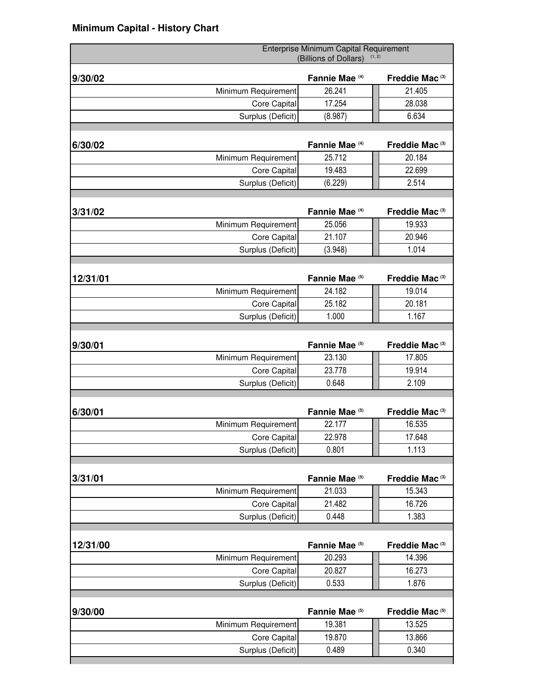|          |                     | Enterprise Minimum Capital Requirement<br>(Billions of Dollars) | (1, 2)                     |
|----------|---------------------|-----------------------------------------------------------------|----------------------------|
| 9/30/02  |                     | Fannie Mae <sup>(4)</sup>                                       | Freddie Mac <sup>(3)</sup> |
|          | Minimum Requirement | 26.241                                                          | 21.405                     |
|          | Core Capital        | 17.254                                                          | 28.038                     |
|          | Surplus (Deficit)   | (8.987)                                                         | 6.634                      |
|          |                     |                                                                 |                            |
| 6/30/02  |                     | Fannie Mae <sup>(4)</sup>                                       | Freddie Mac <sup>(3)</sup> |
|          | Minimum Requirement | 25.712                                                          | 20.184                     |
|          | Core Capital        | 19.483                                                          | 22.699                     |
|          | Surplus (Deficit)   | (6.229)                                                         | 2.514                      |
|          |                     |                                                                 |                            |
| 3/31/02  |                     | Fannie Mae <sup>(4)</sup>                                       | Freddie Mac <sup>(3)</sup> |
|          | Minimum Requirement | 25.056                                                          | 19.933                     |
|          | Core Capital        | 21.107                                                          | 20.946                     |
|          | Surplus (Deficit)   | (3.948)                                                         | 1.014                      |
|          |                     |                                                                 |                            |
| 12/31/01 |                     | Fannie Mae <sup>(5)</sup>                                       | Freddie Mac <sup>(3)</sup> |
|          | Minimum Requirement | 24.182                                                          | 19.014                     |
|          | Core Capital        | 25.182                                                          | 20.181                     |
|          | Surplus (Deficit)   | 1.000                                                           | 1.167                      |
|          |                     |                                                                 |                            |
| 9/30/01  |                     | Fannie Mae <sup>(5)</sup>                                       | Freddie Mac <sup>(3)</sup> |
|          | Minimum Requirement | 23.130                                                          | 17.805                     |
|          | Core Capital        | 23.778                                                          | 19.914                     |
|          | Surplus (Deficit)   | 0.648                                                           | 2.109                      |
|          |                     |                                                                 |                            |
| 6/30/01  |                     | Fannie Mae <sup>(5)</sup>                                       | Freddie Mac <sup>(3)</sup> |
|          | Minimum Requirement | 22.177                                                          | 16.535                     |
|          | Core Capital        | 22.978                                                          | 17.648                     |
|          | Surplus (Deficit)   | 0.801                                                           | 1.113                      |
|          |                     |                                                                 |                            |
| 3/31/01  |                     | Fannie Mae <sup>(5)</sup>                                       | Freddie Mac <sup>(3)</sup> |
|          | Minimum Requirement | 21.033                                                          | 15.343                     |
|          | Core Capital        | 21.482                                                          | 16.726                     |
|          | Surplus (Deficit)   | 0.448                                                           | 1.383                      |
|          |                     |                                                                 |                            |
| 12/31/00 |                     | Fannie Mae <sup>(5)</sup>                                       | Freddie Mac <sup>(3)</sup> |
|          | Minimum Requirement | 20.293                                                          | 14.396                     |
|          | Core Capital        | 20.827                                                          | 16.273                     |
|          | Surplus (Deficit)   | 0.533                                                           | 1.876                      |
|          |                     |                                                                 |                            |
| 9/30/00  |                     | Fannie Mae <sup>(5)</sup>                                       | Freddie Mac <sup>(5)</sup> |
|          | Minimum Requirement | 19.381                                                          | 13.525                     |
|          | Core Capital        | 19.870                                                          | 13.866                     |
|          | Surplus (Deficit)   | 0.489                                                           | 0.340                      |
|          |                     |                                                                 |                            |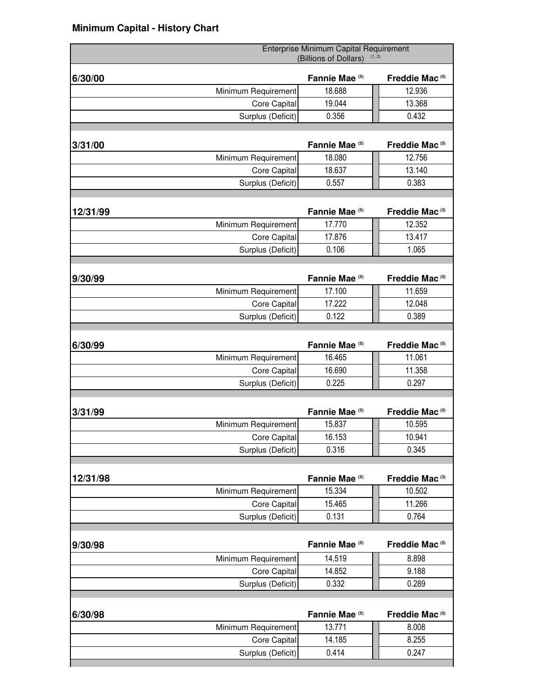|          |                     | Enterprise Minimum Capital Requirement<br>(Billions of Dollars) | (1, 2)                     |
|----------|---------------------|-----------------------------------------------------------------|----------------------------|
| 6/30/00  |                     | Fannie Mae <sup>(5)</sup>                                       | Freddie Mac <sup>(5)</sup> |
|          | Minimum Requirement | 18.688                                                          | 12.936                     |
|          | Core Capital        | 19.044                                                          | 13.368                     |
|          | Surplus (Deficit)   | 0.356                                                           | 0.432                      |
|          |                     |                                                                 |                            |
| 3/31/00  |                     | Fannie Mae <sup>(5)</sup>                                       | Freddie Mac <sup>(5)</sup> |
|          | Minimum Requirement | 18.080                                                          | 12.756                     |
|          | Core Capital        | 18.637                                                          | 13.140                     |
|          | Surplus (Deficit)   | 0.557                                                           | 0.383                      |
|          |                     |                                                                 |                            |
| 12/31/99 |                     | Fannie Mae <sup>(5)</sup>                                       | Freddie Mac <sup>(3)</sup> |
|          | Minimum Requirement | 17.770                                                          | 12.352                     |
|          | Core Capital        | 17.876                                                          | 13.417                     |
|          | Surplus (Deficit)   | 0.106                                                           | 1.065                      |
|          |                     |                                                                 |                            |
| 9/30/99  |                     | Fannie Mae <sup>(5)</sup>                                       | Freddie Mac <sup>(5)</sup> |
|          | Minimum Requirement | 17.100                                                          | 11.659                     |
|          | Core Capital        | 17.222                                                          | 12.048                     |
|          | Surplus (Deficit)   | 0.122                                                           | 0.389                      |
|          |                     |                                                                 |                            |
| 6/30/99  |                     | Fannie Mae <sup>(5)</sup>                                       | Freddie Mac <sup>(5)</sup> |
|          | Minimum Requirement | 16.465                                                          | 11.061                     |
|          | Core Capital        | 16.690                                                          | 11.358                     |
|          | Surplus (Deficit)   | 0.225                                                           | 0.297                      |
|          |                     |                                                                 |                            |
| 3/31/99  |                     | Fannie Mae <sup>(5)</sup>                                       | Freddie Mac <sup>(5)</sup> |
|          | Minimum Requirement | 15.837                                                          | 10.595                     |
|          | Core Capital        | 16.153                                                          | 10.941                     |
|          | Surplus (Deficit)   | 0.316                                                           | 0.345                      |
|          |                     |                                                                 |                            |
| 12/31/98 |                     | Fannie Mae <sup>(5)</sup>                                       | Freddie Mac <sup>(3)</sup> |
|          | Minimum Requirement | 15.334                                                          | 10.502                     |
|          | Core Capital        | 15.465                                                          | 11.266                     |
|          | Surplus (Deficit)   | 0.131                                                           | 0.764                      |
|          |                     |                                                                 |                            |
| 9/30/98  |                     | Fannie Mae <sup>(5)</sup>                                       | Freddie Mac <sup>(5)</sup> |
|          | Minimum Requirement | 14.519                                                          | 8.898                      |
|          | Core Capital        | 14.852                                                          | 9.188                      |
|          | Surplus (Deficit)   | 0.332                                                           | 0.289                      |
|          |                     |                                                                 |                            |
| 6/30/98  |                     | Fannie Mae <sup>(5)</sup>                                       | Freddie Mac <sup>(5)</sup> |
|          | Minimum Requirement | 13.771                                                          | 8.008                      |
|          | Core Capital        | 14.185                                                          | 8.255                      |
|          | Surplus (Deficit)   | 0.414                                                           | 0.247                      |
|          |                     |                                                                 |                            |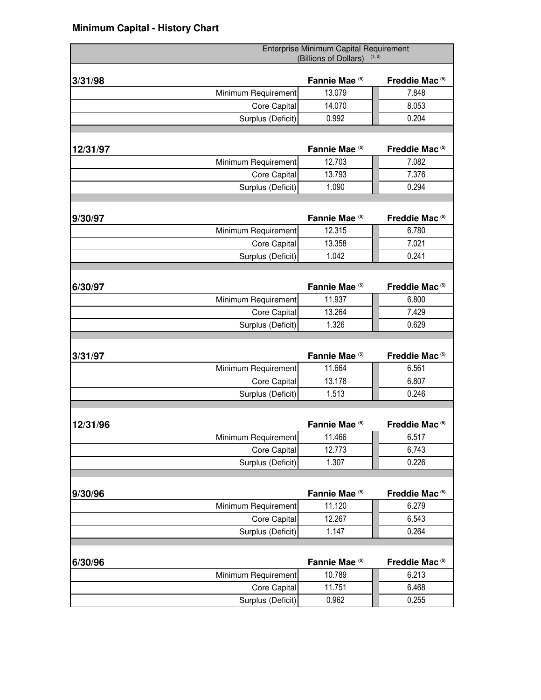|          |                     | Enterprise Minimum Capital Requirement<br>(Billions of Dollars) | (1, 2)                     |
|----------|---------------------|-----------------------------------------------------------------|----------------------------|
| 3/31/98  |                     | Fannie Mae (5)                                                  | Freddie Mac <sup>(5)</sup> |
|          | Minimum Requirement | 13.079                                                          | 7.848                      |
|          | Core Capital        | 14.070                                                          | 8.053                      |
|          | Surplus (Deficit)   | 0.992                                                           | 0.204                      |
|          |                     |                                                                 |                            |
| 12/31/97 |                     | Fannie Mae <sup>(5)</sup>                                       | Freddie Mac <sup>(5)</sup> |
|          | Minimum Requirement | 12.703                                                          | 7.082                      |
|          | Core Capital        | 13.793                                                          | 7.376                      |
|          | Surplus (Deficit)   | 1.090                                                           | 0.294                      |
|          |                     |                                                                 |                            |
| 9/30/97  |                     | Fannie Mae <sup>(5)</sup>                                       | Freddie Mac <sup>(5)</sup> |
|          | Minimum Requirement | 12.315                                                          | 6.780                      |
|          | Core Capital        | 13.358                                                          | 7.021                      |
|          | Surplus (Deficit)   | 1.042                                                           | 0.241                      |
|          |                     |                                                                 |                            |
| 6/30/97  |                     | Fannie Mae (5)                                                  | Freddie Mac <sup>(5)</sup> |
|          | Minimum Requirement | 11.937                                                          | 6.800                      |
|          | Core Capital        | 13.264                                                          | 7.429                      |
|          | Surplus (Deficit)   | 1.326                                                           | 0.629                      |
|          |                     |                                                                 |                            |
| 3/31/97  |                     | Fannie Mae <sup>(5)</sup>                                       | Freddie Mac <sup>(5)</sup> |
|          | Minimum Requirement | 11.664                                                          | 6.561                      |
|          | Core Capital        | 13.178                                                          | 6.807                      |
|          | Surplus (Deficit)   | 1.513                                                           | 0.246                      |
|          |                     |                                                                 |                            |
| 12/31/96 |                     | Fannie Mae <sup>(5)</sup>                                       | Freddie Mac <sup>(5)</sup> |
|          | Minimum Requirement | 11.466                                                          | 6.517                      |
|          | Core Capital        | 12.773                                                          | 6.743                      |
|          | Surplus (Deficit)   | 1.307                                                           | 0.226                      |
|          |                     |                                                                 |                            |
| 9/30/96  |                     | Fannie Mae <sup>(5)</sup>                                       | Freddie Mac <sup>(5)</sup> |
|          | Minimum Requirement | 11.120                                                          | 6.279                      |
|          | Core Capital        | 12.267                                                          | 6.543                      |
|          | Surplus (Deficit)   | 1.147                                                           | 0.264                      |
|          |                     |                                                                 |                            |
| 6/30/96  |                     | Fannie Mae <sup>(5)</sup>                                       | Freddie Mac <sup>(5)</sup> |
|          | Minimum Requirement | 10.789                                                          | 6.213                      |
|          | Core Capital        | 11.751                                                          | 6.468                      |
|          | Surplus (Deficit)   | 0.962                                                           | 0.255                      |
|          |                     |                                                                 |                            |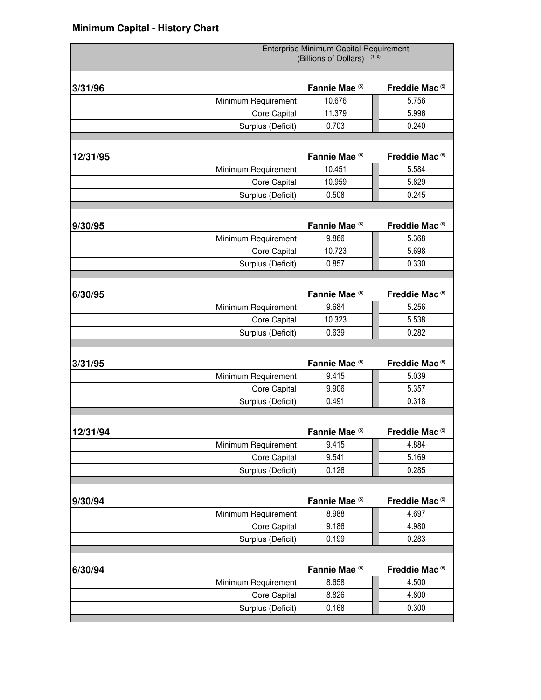|          |                     | Enterprise Minimum Capital Requirement<br>(Billions of Dollars) | (1, 2)                     |
|----------|---------------------|-----------------------------------------------------------------|----------------------------|
|          |                     |                                                                 |                            |
| 3/31/96  |                     | Fannie Mae <sup>(5)</sup>                                       | Freddie Mac <sup>(5)</sup> |
|          | Minimum Requirement | 10.676                                                          | 5.756                      |
|          | Core Capital        | 11.379                                                          | 5.996                      |
|          | Surplus (Deficit)   | 0.703                                                           | 0.240                      |
|          |                     |                                                                 |                            |
| 12/31/95 |                     | Fannie Mae <sup>(5)</sup>                                       | Freddie Mac <sup>(5)</sup> |
|          | Minimum Requirement | 10.451                                                          | 5.584                      |
|          | Core Capital        | 10.959                                                          | 5.829                      |
|          | Surplus (Deficit)   | 0.508                                                           | 0.245                      |
|          |                     |                                                                 |                            |
| 9/30/95  |                     | Fannie Mae <sup>(5)</sup>                                       | Freddie Mac <sup>(5)</sup> |
|          | Minimum Requirement | 9.866                                                           | 5.368                      |
|          | Core Capital        | 10.723                                                          | 5.698                      |
|          | Surplus (Deficit)   | 0.857                                                           | 0.330                      |
|          |                     |                                                                 |                            |
| 6/30/95  |                     | Fannie Mae <sup>(5)</sup>                                       | Freddie Mac <sup>(5)</sup> |
|          | Minimum Requirement | 9.684                                                           | 5.256                      |
|          | Core Capital        | 10.323                                                          | 5.538                      |
|          | Surplus (Deficit)   | 0.639                                                           | 0.282                      |
|          |                     |                                                                 |                            |
| 3/31/95  |                     | Fannie Mae <sup>(5)</sup>                                       | Freddie Mac <sup>(5)</sup> |
|          | Minimum Requirement | 9.415                                                           | 5.039                      |
|          | Core Capital        | 9.906                                                           | 5.357                      |
|          | Surplus (Deficit)   | 0.491                                                           | 0.318                      |
|          |                     |                                                                 |                            |
| 12/31/94 |                     | Fannie Mae <sup>(5)</sup>                                       | Freddie Mac <sup>(5)</sup> |
|          | Minimum Requirement | 9.415                                                           | 4.884                      |
|          | Core Capital        | 9.541                                                           | 5.169                      |
|          | Surplus (Deficit)   | 0.126                                                           | 0.285                      |
|          |                     |                                                                 |                            |
| 9/30/94  |                     | Fannie Mae <sup>(5)</sup>                                       | Freddie Mac <sup>(5)</sup> |
|          | Minimum Requirement | 8.988                                                           | 4.697                      |
|          | Core Capital        | 9.186                                                           | 4.980                      |
|          | Surplus (Deficit)   | 0.199                                                           | 0.283                      |
|          |                     |                                                                 |                            |
| 6/30/94  |                     | Fannie Mae <sup>(5)</sup>                                       | Freddie Mac <sup>(5)</sup> |
|          | Minimum Requirement | 8.658                                                           | 4.500                      |
|          | Core Capital        | 8.826                                                           | 4.800                      |
|          | Surplus (Deficit)   | 0.168                                                           | 0.300                      |
|          |                     |                                                                 |                            |